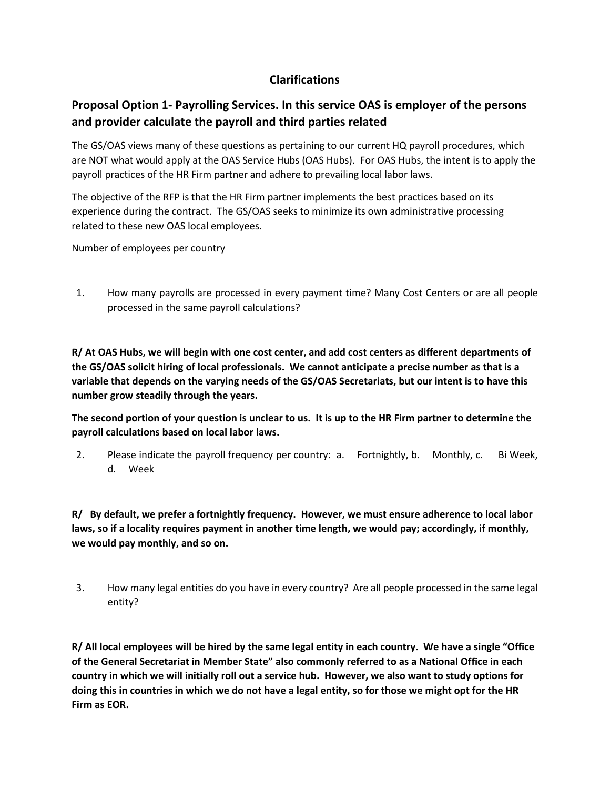## **Clarifications**

# **Proposal Option 1- Payrolling Services. In this service OAS is employer of the persons and provider calculate the payroll and third parties related**

The GS/OAS views many of these questions as pertaining to our current HQ payroll procedures, which are NOT what would apply at the OAS Service Hubs (OAS Hubs). For OAS Hubs, the intent is to apply the payroll practices of the HR Firm partner and adhere to prevailing local labor laws.

The objective of the RFP is that the HR Firm partner implements the best practices based on its experience during the contract. The GS/OAS seeks to minimize its own administrative processing related to these new OAS local employees.

Number of employees per country

1. How many payrolls are processed in every payment time? Many Cost Centers or are all people processed in the same payroll calculations?

**R/ At OAS Hubs, we will begin with one cost center, and add cost centers as different departments of the GS/OAS solicit hiring of local professionals. We cannot anticipate a precise number as that is a variable that depends on the varying needs of the GS/OAS Secretariats, but our intent is to have this number grow steadily through the years.**

**The second portion of your question is unclear to us. It is up to the HR Firm partner to determine the payroll calculations based on local labor laws.**

2. Please indicate the payroll frequency per country: a. Fortnightly, b. Monthly, c. Bi Week, d. Week

**R/ By default, we prefer a fortnightly frequency. However, we must ensure adherence to local labor laws, so if a locality requires payment in another time length, we would pay; accordingly, if monthly, we would pay monthly, and so on.**

3. How many legal entities do you have in every country? Are all people processed in the same legal entity?

**R/ All local employees will be hired by the same legal entity in each country. We have a single "Office of the General Secretariat in Member State" also commonly referred to as a National Office in each country in which we will initially roll out a service hub. However, we also want to study options for doing this in countries in which we do not have a legal entity, so for those we might opt for the HR Firm as EOR.**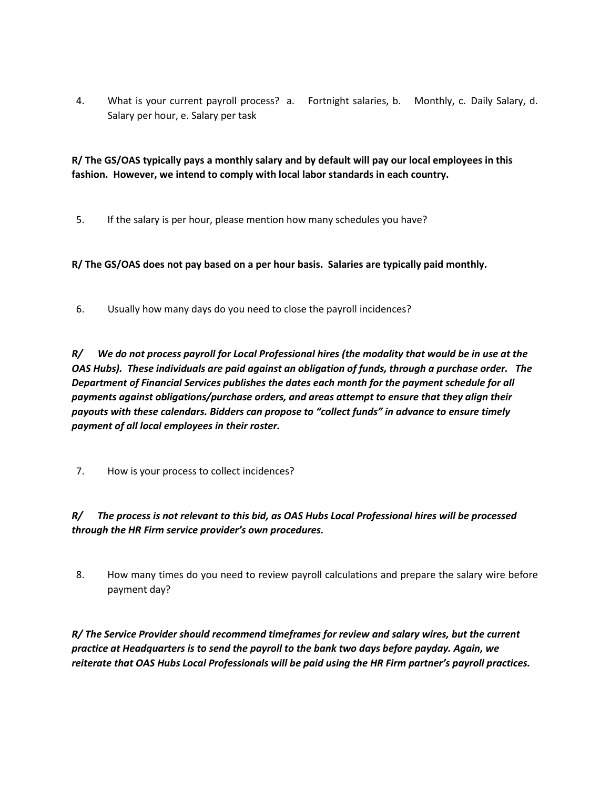4. What is your current payroll process? a. Fortnight salaries, b. Monthly, c. Daily Salary, d. Salary per hour, e. Salary per task

**R/ The GS/OAS typically pays a monthly salary and by default will pay our local employees in this fashion. However, we intend to comply with local labor standards in each country.** 

5. If the salary is per hour, please mention how many schedules you have?

**R/ The GS/OAS does not pay based on a per hour basis. Salaries are typically paid monthly.**

6. Usually how many days do you need to close the payroll incidences?

*R/ We do not process payroll for Local Professional hires (the modality that would be in use at the OAS Hubs). These individuals are paid against an obligation of funds, through a purchase order. The Department of Financial Services publishes the dates each month for the payment schedule for all payments against obligations/purchase orders, and areas attempt to ensure that they align their payouts with these calendars. Bidders can propose to "collect funds" in advance to ensure timely payment of all local employees in their roster.*

7. How is your process to collect incidences?

*R/ The process is not relevant to this bid, as OAS Hubs Local Professional hires will be processed through the HR Firm service provider's own procedures.*

8. How many times do you need to review payroll calculations and prepare the salary wire before payment day?

*R/ The Service Provider should recommend timeframes for review and salary wires, but the current practice at Headquarters is to send the payroll to the bank two days before payday. Again, we reiterate that OAS Hubs Local Professionals will be paid using the HR Firm partner's payroll practices.*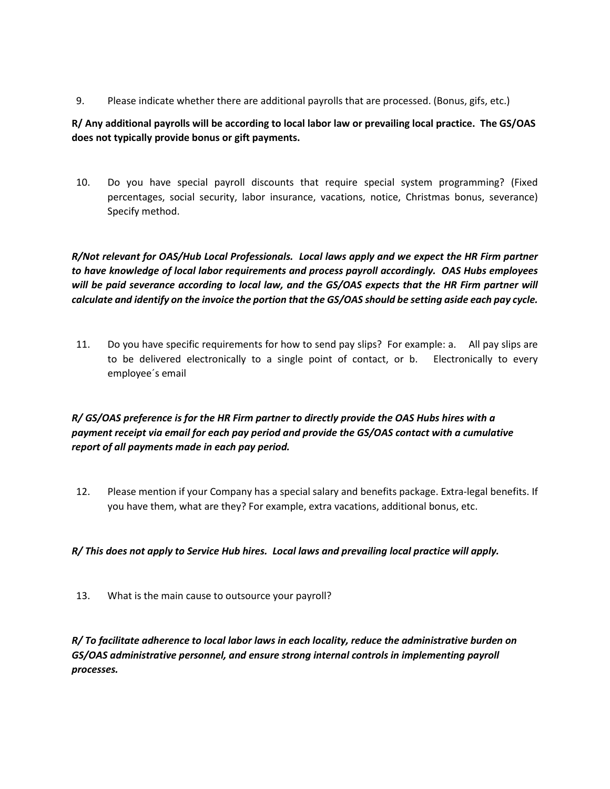9. Please indicate whether there are additional payrolls that are processed. (Bonus, gifs, etc.)

#### **R/ Any additional payrolls will be according to local labor law or prevailing local practice. The GS/OAS does not typically provide bonus or gift payments.**

10. Do you have special payroll discounts that require special system programming? (Fixed percentages, social security, labor insurance, vacations, notice, Christmas bonus, severance) Specify method.

*R/Not relevant for OAS/Hub Local Professionals. Local laws apply and we expect the HR Firm partner to have knowledge of local labor requirements and process payroll accordingly. OAS Hubs employees will be paid severance according to local law, and the GS/OAS expects that the HR Firm partner will calculate and identify on the invoice the portion that the GS/OAS should be setting aside each pay cycle.*

11. Do you have specific requirements for how to send pay slips? For example: a. All pay slips are to be delivered electronically to a single point of contact, or b. Electronically to every employee´s email

### *R/ GS/OAS preference is for the HR Firm partner to directly provide the OAS Hubs hires with a payment receipt via email for each pay period and provide the GS/OAS contact with a cumulative report of all payments made in each pay period.*

12. Please mention if your Company has a special salary and benefits package. Extra-legal benefits. If you have them, what are they? For example, extra vacations, additional bonus, etc.

#### *R/ This does not apply to Service Hub hires. Local laws and prevailing local practice will apply.*

13. What is the main cause to outsource your payroll?

*R/ To facilitate adherence to local labor laws in each locality, reduce the administrative burden on GS/OAS administrative personnel, and ensure strong internal controls in implementing payroll processes.*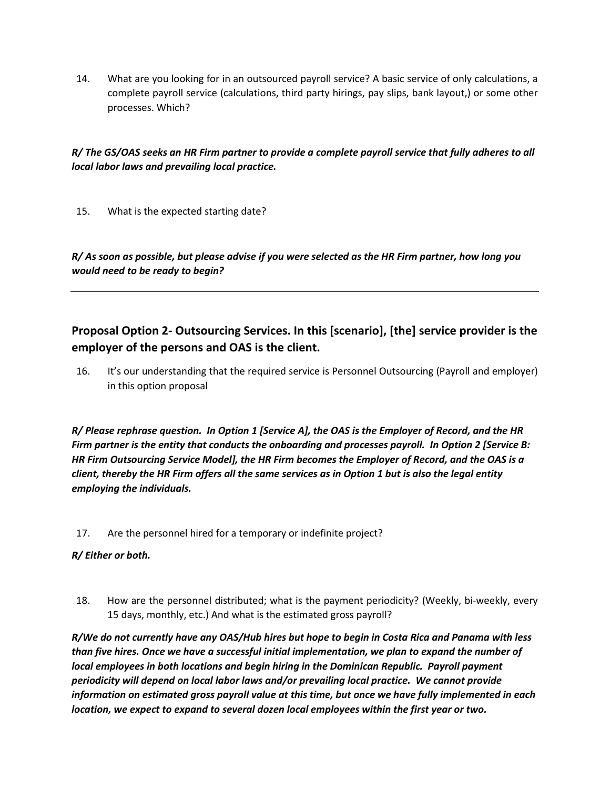14. What are you looking for in an outsourced payroll service? A basic service of only calculations, a complete payroll service (calculations, third party hirings, pay slips, bank layout,) or some other processes. Which?

#### *R/ The GS/OAS seeks an HR Firm partner to provide a complete payroll service that fully adheres to all local labor laws and prevailing local practice.*

15. What is the expected starting date?

*R/ As soon as possible, but please advise if you were selected as the HR Firm partner, how long you would need to be ready to begin?*

# **Proposal Option 2- Outsourcing Services. In this [scenario], [the] service provider is the employer of the persons and OAS is the client.**

16. It's our understanding that the required service is Personnel Outsourcing (Payroll and employer) in this option proposal

*R/ Please rephrase question. In Option 1 [Service A], the OAS is the Employer of Record, and the HR Firm partner is the entity that conducts the onboarding and processes payroll. In Option 2 [Service B: HR Firm Outsourcing Service Model], the HR Firm becomes the Employer of Record, and the OAS is a client, thereby the HR Firm offers all the same services as in Option 1 but is also the legal entity employing the individuals.*

17. Are the personnel hired for a temporary or indefinite project?

#### *R/ Either or both.*

18. How are the personnel distributed; what is the payment periodicity? (Weekly, bi-weekly, every 15 days, monthly, etc.) And what is the estimated gross payroll?

*R/We do not currently have any OAS/Hub hires but hope to begin in Costa Rica and Panama with less than five hires. Once we have a successful initial implementation, we plan to expand the number of local employees in both locations and begin hiring in the Dominican Republic. Payroll payment periodicity will depend on local labor laws and/or prevailing local practice. We cannot provide information on estimated gross payroll value at this time, but once we have fully implemented in each location, we expect to expand to several dozen local employees within the first year or two.*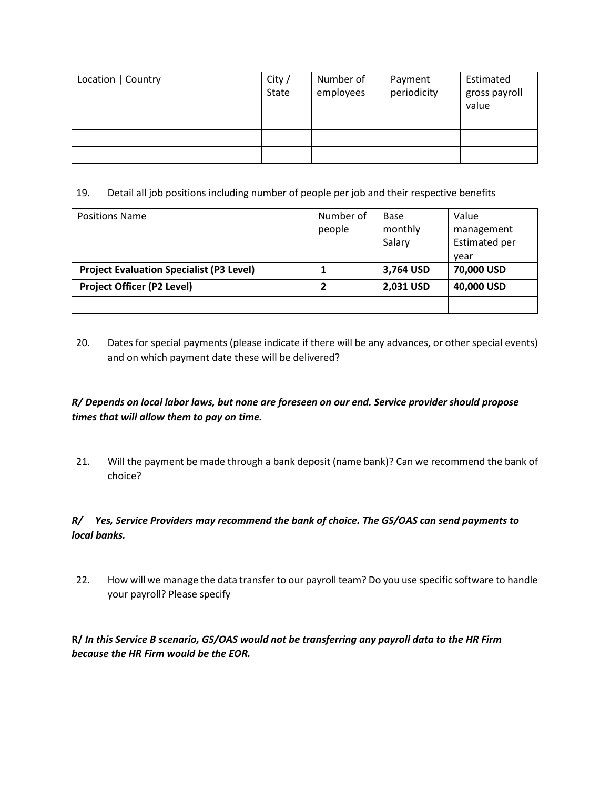| Location   Country | City /<br>State | Number of<br>employees | Payment<br>periodicity | Estimated<br>gross payroll<br>value |
|--------------------|-----------------|------------------------|------------------------|-------------------------------------|
|                    |                 |                        |                        |                                     |
|                    |                 |                        |                        |                                     |
|                    |                 |                        |                        |                                     |

19. Detail all job positions including number of people per job and their respective benefits

| <b>Positions Name</b>                           | Number of | Base      | Value                |
|-------------------------------------------------|-----------|-----------|----------------------|
|                                                 | people    | monthly   | management           |
|                                                 |           | Salary    | <b>Estimated per</b> |
|                                                 |           |           | vear                 |
| <b>Project Evaluation Specialist (P3 Level)</b> |           | 3,764 USD | 70,000 USD           |
| <b>Project Officer (P2 Level)</b>               |           | 2,031 USD | 40,000 USD           |
|                                                 |           |           |                      |

20. Dates for special payments (please indicate if there will be any advances, or other special events) and on which payment date these will be delivered?

## *R/ Depends on local labor laws, but none are foreseen on our end. Service provider should propose times that will allow them to pay on time.*

21. Will the payment be made through a bank deposit (name bank)? Can we recommend the bank of choice?

### *R/ Yes, Service Providers may recommend the bank of choice. The GS/OAS can send payments to local banks.*

22. How will we manage the data transfer to our payroll team? Do you use specific software to handle your payroll? Please specify

**R/** *In this Service B scenario, GS/OAS would not be transferring any payroll data to the HR Firm because the HR Firm would be the EOR.*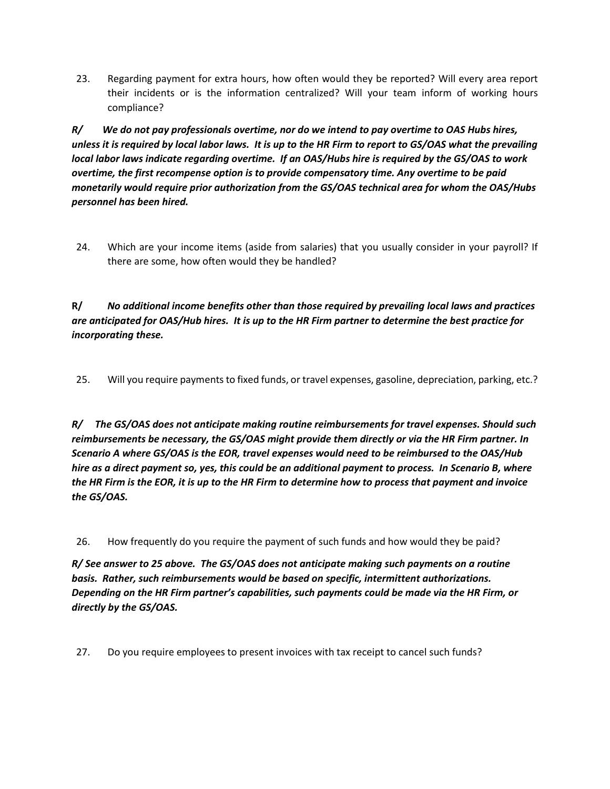23. Regarding payment for extra hours, how often would they be reported? Will every area report their incidents or is the information centralized? Will your team inform of working hours compliance?

*R/ We do not pay professionals overtime, nor do we intend to pay overtime to OAS Hubs hires, unless it is required by local labor laws. It is up to the HR Firm to report to GS/OAS what the prevailing local labor laws indicate regarding overtime. If an OAS/Hubs hire is required by the GS/OAS to work overtime, the first recompense option is to provide compensatory time. Any overtime to be paid monetarily would require prior authorization from the GS/OAS technical area for whom the OAS/Hubs personnel has been hired.*

24. Which are your income items (aside from salaries) that you usually consider in your payroll? If there are some, how often would they be handled?

**R/** *No additional income benefits other than those required by prevailing local laws and practices are anticipated for OAS/Hub hires. It is up to the HR Firm partner to determine the best practice for incorporating these.*

25. Will you require payments to fixed funds, or travel expenses, gasoline, depreciation, parking, etc.?

*R/ The GS/OAS does not anticipate making routine reimbursements for travel expenses. Should such reimbursements be necessary, the GS/OAS might provide them directly or via the HR Firm partner. In Scenario A where GS/OAS is the EOR, travel expenses would need to be reimbursed to the OAS/Hub hire as a direct payment so, yes, this could be an additional payment to process. In Scenario B, where the HR Firm is the EOR, it is up to the HR Firm to determine how to process that payment and invoice the GS/OAS.* 

26. How frequently do you require the payment of such funds and how would they be paid?

*R/ See answer to 25 above. The GS/OAS does not anticipate making such payments on a routine basis. Rather, such reimbursements would be based on specific, intermittent authorizations. Depending on the HR Firm partner's capabilities, such payments could be made via the HR Firm, or directly by the GS/OAS.* 

27. Do you require employees to present invoices with tax receipt to cancel such funds?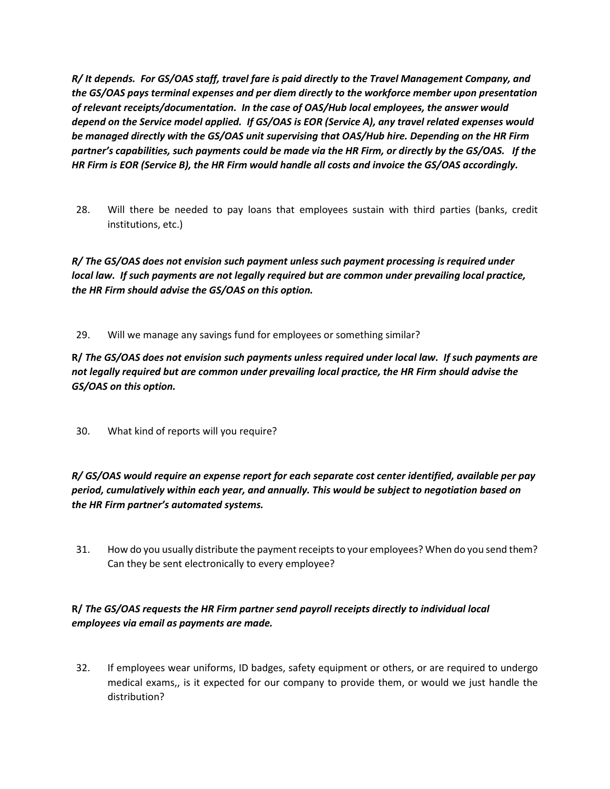*R/ It depends. For GS/OAS staff, travel fare is paid directly to the Travel Management Company, and the GS/OAS pays terminal expenses and per diem directly to the workforce member upon presentation of relevant receipts/documentation. In the case of OAS/Hub local employees, the answer would depend on the Service model applied. If GS/OAS is EOR (Service A), any travel related expenses would be managed directly with the GS/OAS unit supervising that OAS/Hub hire. Depending on the HR Firm partner's capabilities, such payments could be made via the HR Firm, or directly by the GS/OAS. If the HR Firm is EOR (Service B), the HR Firm would handle all costs and invoice the GS/OAS accordingly.*

28. Will there be needed to pay loans that employees sustain with third parties (banks, credit institutions, etc.)

*R/ The GS/OAS does not envision such payment unless such payment processing is required under local law. If such payments are not legally required but are common under prevailing local practice, the HR Firm should advise the GS/OAS on this option.* 

29. Will we manage any savings fund for employees or something similar?

**R/** *The GS/OAS does not envision such payments unless required under local law. If such payments are not legally required but are common under prevailing local practice, the HR Firm should advise the GS/OAS on this option.*

30. What kind of reports will you require?

*R/ GS/OAS would require an expense report for each separate cost center identified, available per pay period, cumulatively within each year, and annually. This would be subject to negotiation based on the HR Firm partner's automated systems.* 

31. How do you usually distribute the payment receipts to your employees? When do you send them? Can they be sent electronically to every employee?

### **R/** *The GS/OAS requests the HR Firm partner send payroll receipts directly to individual local employees via email as payments are made.*

32. If employees wear uniforms, ID badges, safety equipment or others, or are required to undergo medical exams,, is it expected for our company to provide them, or would we just handle the distribution?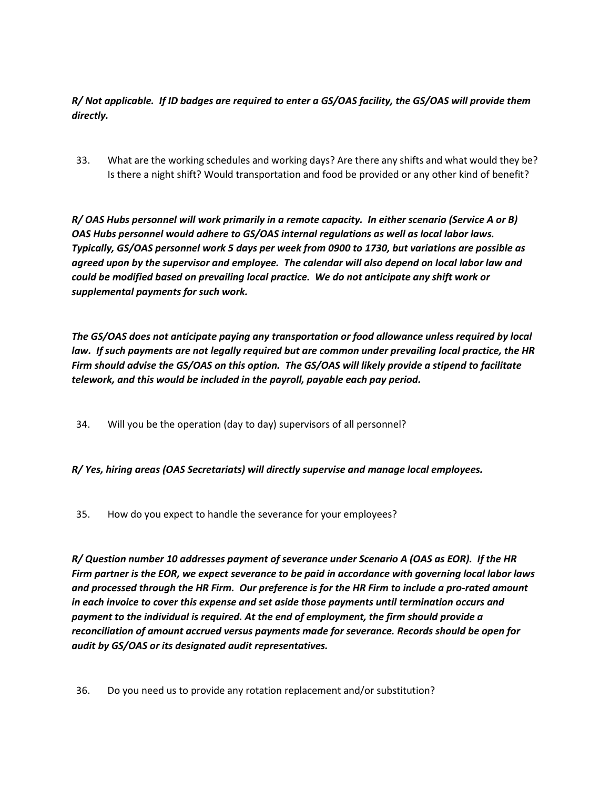*R/ Not applicable. If ID badges are required to enter a GS/OAS facility, the GS/OAS will provide them directly.*

33. What are the working schedules and working days? Are there any shifts and what would they be? Is there a night shift? Would transportation and food be provided or any other kind of benefit?

*R/ OAS Hubs personnel will work primarily in a remote capacity. In either scenario (Service A or B) OAS Hubs personnel would adhere to GS/OAS internal regulations as well as local labor laws. Typically, GS/OAS personnel work 5 days per week from 0900 to 1730, but variations are possible as agreed upon by the supervisor and employee. The calendar will also depend on local labor law and could be modified based on prevailing local practice. We do not anticipate any shift work or supplemental payments for such work.* 

*The GS/OAS does not anticipate paying any transportation or food allowance unless required by local law. If such payments are not legally required but are common under prevailing local practice, the HR Firm should advise the GS/OAS on this option. The GS/OAS will likely provide a stipend to facilitate telework, and this would be included in the payroll, payable each pay period.* 

34. Will you be the operation (day to day) supervisors of all personnel?

*R/ Yes, hiring areas (OAS Secretariats) will directly supervise and manage local employees.*

35. How do you expect to handle the severance for your employees?

*R/ Question number 10 addresses payment of severance under Scenario A (OAS as EOR). If the HR Firm partner is the EOR, we expect severance to be paid in accordance with governing local labor laws and processed through the HR Firm. Our preference is for the HR Firm to include a pro-rated amount in each invoice to cover this expense and set aside those payments until termination occurs and payment to the individual is required. At the end of employment, the firm should provide a reconciliation of amount accrued versus payments made for severance. Records should be open for audit by GS/OAS or its designated audit representatives.* 

36. Do you need us to provide any rotation replacement and/or substitution?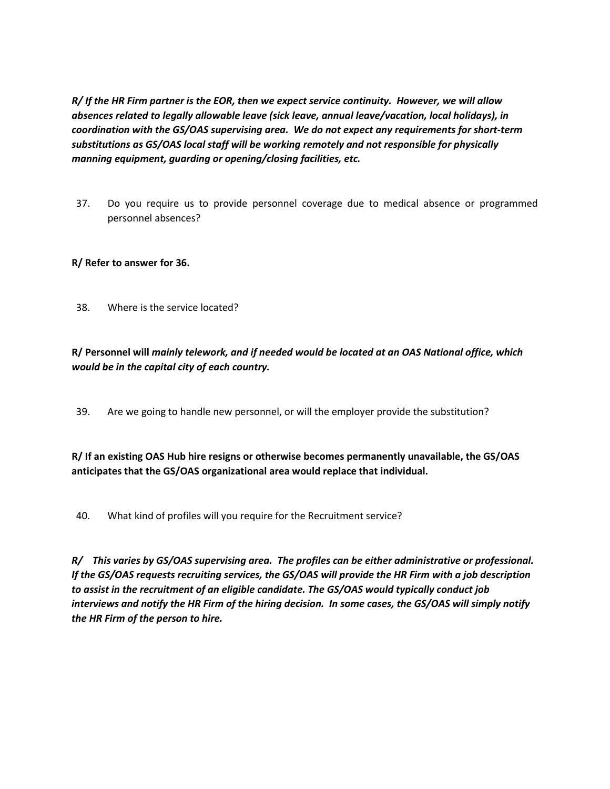*R/ If the HR Firm partner is the EOR, then we expect service continuity. However, we will allow absences related to legally allowable leave (sick leave, annual leave/vacation, local holidays), in coordination with the GS/OAS supervising area. We do not expect any requirements for short-term substitutions as GS/OAS local staff will be working remotely and not responsible for physically manning equipment, guarding or opening/closing facilities, etc.*

37. Do you require us to provide personnel coverage due to medical absence or programmed personnel absences?

#### **R/ Refer to answer for 36.**

38. Where is the service located?

### **R/ Personnel will** *mainly telework, and if needed would be located at an OAS National office, which would be in the capital city of each country.*

39. Are we going to handle new personnel, or will the employer provide the substitution?

**R/ If an existing OAS Hub hire resigns or otherwise becomes permanently unavailable, the GS/OAS anticipates that the GS/OAS organizational area would replace that individual.**

40. What kind of profiles will you require for the Recruitment service?

*R/ This varies by GS/OAS supervising area. The profiles can be either administrative or professional. If the GS/OAS requests recruiting services, the GS/OAS will provide the HR Firm with a job description to assist in the recruitment of an eligible candidate. The GS/OAS would typically conduct job interviews and notify the HR Firm of the hiring decision. In some cases, the GS/OAS will simply notify the HR Firm of the person to hire.*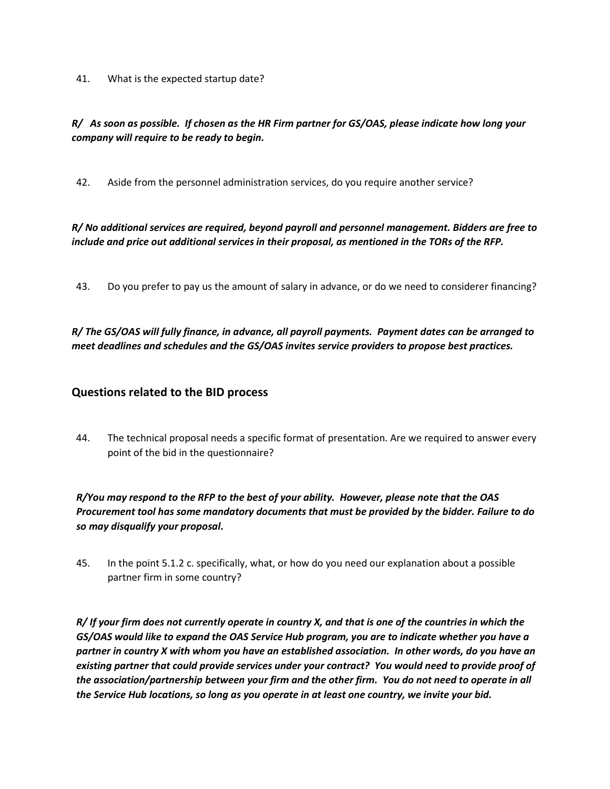41. What is the expected startup date?

#### *R/ As soon as possible. If chosen as the HR Firm partner for GS/OAS, please indicate how long your company will require to be ready to begin.*

42. Aside from the personnel administration services, do you require another service?

*R/ No additional services are required, beyond payroll and personnel management. Bidders are free to include and price out additional services in their proposal, as mentioned in the TORs of the RFP.*

43. Do you prefer to pay us the amount of salary in advance, or do we need to considerer financing?

*R/ The GS/OAS will fully finance, in advance, all payroll payments. Payment dates can be arranged to meet deadlines and schedules and the GS/OAS invites service providers to propose best practices.* 

#### **Questions related to the BID process**

44. The technical proposal needs a specific format of presentation. Are we required to answer every point of the bid in the questionnaire?

*R/You may respond to the RFP to the best of your ability. However, please note that the OAS Procurement tool has some mandatory documents that must be provided by the bidder. Failure to do so may disqualify your proposal***.**

45. In the point 5.1.2 c. specifically, what, or how do you need our explanation about a possible partner firm in some country?

*R/ If your firm does not currently operate in country X, and that is one of the countries in which the GS/OAS would like to expand the OAS Service Hub program, you are to indicate whether you have a partner in country X with whom you have an established association. In other words, do you have an existing partner that could provide services under your contract? You would need to provide proof of the association/partnership between your firm and the other firm. You do not need to operate in all the Service Hub locations, so long as you operate in at least one country, we invite your bid.*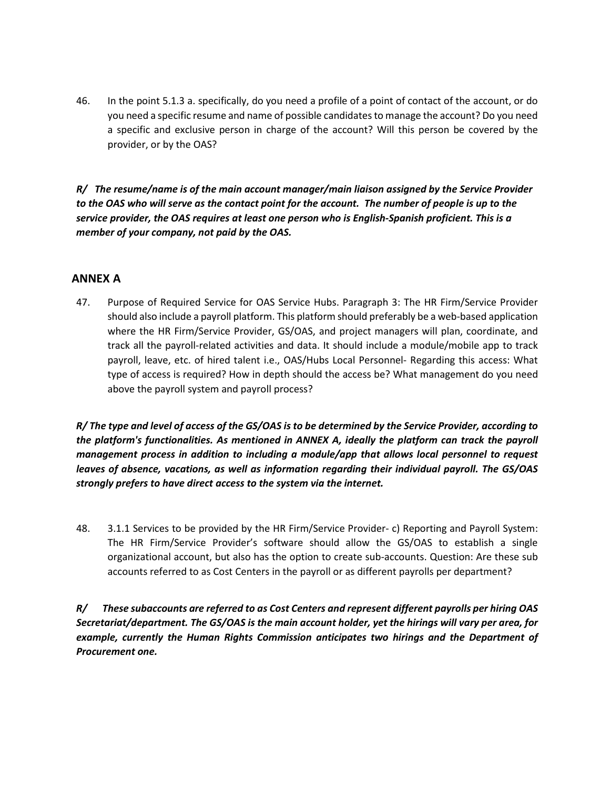46. In the point 5.1.3 a. specifically, do you need a profile of a point of contact of the account, or do you need a specific resume and name of possible candidates to manage the account? Do you need a specific and exclusive person in charge of the account? Will this person be covered by the provider, or by the OAS?

*R/ The resume/name is of the main account manager/main liaison assigned by the Service Provider to the OAS who will serve as the contact point for the account. The number of people is up to the service provider, the OAS requires at least one person who is English-Spanish proficient. This is a member of your company, not paid by the OAS.*

### **ANNEX A**

47. Purpose of Required Service for OAS Service Hubs. Paragraph 3: The HR Firm/Service Provider should also include a payroll platform. This platform should preferably be a web-based application where the HR Firm/Service Provider, GS/OAS, and project managers will plan, coordinate, and track all the payroll-related activities and data. It should include a module/mobile app to track payroll, leave, etc. of hired talent i.e., OAS/Hubs Local Personnel- Regarding this access: What type of access is required? How in depth should the access be? What management do you need above the payroll system and payroll process?

*R/ The type and level of access of the GS/OAS is to be determined by the Service Provider, according to the platform's functionalities. As mentioned in ANNEX A, ideally the platform can track the payroll management process in addition to including a module/app that allows local personnel to request leaves of absence, vacations, as well as information regarding their individual payroll. The GS/OAS strongly prefers to have direct access to the system via the internet.* 

48. 3.1.1 Services to be provided by the HR Firm/Service Provider- c) Reporting and Payroll System: The HR Firm/Service Provider's software should allow the GS/OAS to establish a single organizational account, but also has the option to create sub-accounts. Question: Are these sub accounts referred to as Cost Centers in the payroll or as different payrolls per department?

*R/ These subaccounts are referred to as Cost Centers and represent different payrolls per hiring OAS Secretariat/department. The GS/OAS is the main account holder, yet the hirings will vary per area, for example, currently the Human Rights Commission anticipates two hirings and the Department of Procurement one.*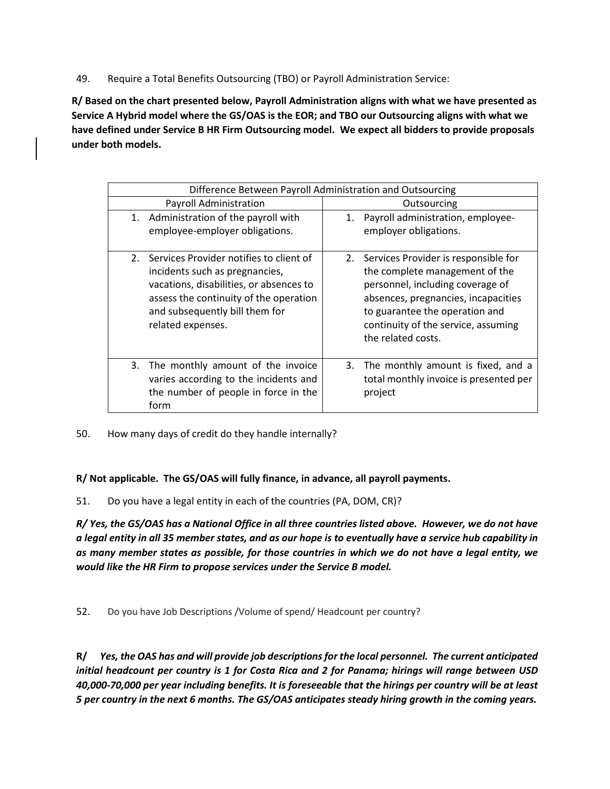49. Require a Total Benefits Outsourcing (TBO) or Payroll Administration Service:

**R/ Based on the chart presented below, Payroll Administration aligns with what we have presented as Service A Hybrid model where the GS/OAS is the EOR; and TBO our Outsourcing aligns with what we have defined under Service B HR Firm Outsourcing model. We expect all bidders to provide proposals under both models.**

| Difference Between Payroll Administration and Outsourcing                                                                                                                                                                |                                                                                                                                                                                                                                                     |  |  |  |
|--------------------------------------------------------------------------------------------------------------------------------------------------------------------------------------------------------------------------|-----------------------------------------------------------------------------------------------------------------------------------------------------------------------------------------------------------------------------------------------------|--|--|--|
| <b>Payroll Administration</b>                                                                                                                                                                                            | Outsourcing                                                                                                                                                                                                                                         |  |  |  |
| 1. Administration of the payroll with<br>employee-employer obligations.                                                                                                                                                  | Payroll administration, employee-<br>1.<br>employer obligations.                                                                                                                                                                                    |  |  |  |
| 2. Services Provider notifies to client of<br>incidents such as pregnancies,<br>vacations, disabilities, or absences to<br>assess the continuity of the operation<br>and subsequently bill them for<br>related expenses. | 2. Services Provider is responsible for<br>the complete management of the<br>personnel, including coverage of<br>absences, pregnancies, incapacities<br>to guarantee the operation and<br>continuity of the service, assuming<br>the related costs. |  |  |  |
| 3. The monthly amount of the invoice<br>varies according to the incidents and<br>the number of people in force in the<br>form                                                                                            | 3. The monthly amount is fixed, and a<br>total monthly invoice is presented per<br>project                                                                                                                                                          |  |  |  |

50. How many days of credit do they handle internally?

**R/ Not applicable. The GS/OAS will fully finance, in advance, all payroll payments.**

51. Do you have a legal entity in each of the countries (PA, DOM, CR)?

*R/ Yes, the GS/OAS has a National Office in all three countries listed above. However, we do not have a legal entity in all 35 member states, and as our hope is to eventually have a service hub capability in as many member states as possible, for those countries in which we do not have a legal entity, we would like the HR Firm to propose services under the Service B model.*

52. Do you have Job Descriptions /Volume of spend/ Headcount per country?

**R/** *Yes, the OAS has and will provide job descriptions for the local personnel. The current anticipated initial headcount per country is 1 for Costa Rica and 2 for Panama; hirings will range between USD 40,000-70,000 per year including benefits. It is foreseeable that the hirings per country will be at least 5 per country in the next 6 months. The GS/OAS anticipates steady hiring growth in the coming years.*